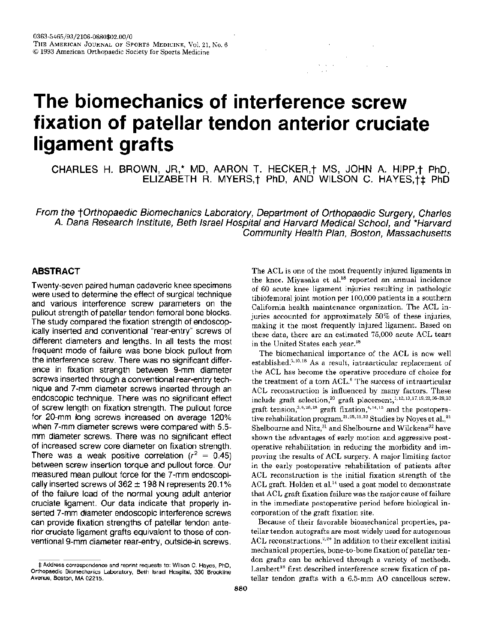# The biomechanics of interference screw fixation of patellar tendon anterior cruciate ligament grafts

CHARLES H. BROWN, JR,\* MD, AARON T. HECKER, † MS, JOHN A. HIPP, † PhD, ELIZABETH R. MYERS, † PhD, AND WILSON C. HAYES, † PhD

From the †Orthopaedic Biomechanics Laboratory, Department of Orthopaedic Surgery, Charles A. Dana Research Institute, Beth Israel Hospital and Harvard Medical School, and \*Harvard Community Health Plan, Boston, Massachusetts

# **ABSTRACT**

Twenty-seven paired human cadaveric knee specimens were used to determine the effect of surgical technique and various interference screw parameters on the pullout strength of patellar tendon femoral bone blocks. The study compared the fixation strength of endoscopically inserted and conventional "rear-entry" screws of different diameters and lengths. In all tests the most frequent mode of failure was bone block pullout from the interference screw. There was no significant difference in fixation strength between 9-mm diameter screws inserted through a conventional rear-entry technique and 7-mm diameter screws inserted through an endoscopic technique. There was no significant effect of screw length on fixation strength. The pullout force for 20-mm long screws increased on average 120% when 7-mm diameter screws were compared with 5.5mm diameter screws. There was no significant effect of increased screw core diameter on fixation strength. There was a weak positive correlation ( $r^2 = 0.45$ ) between screw insertion torque and pullout force. Our measured mean pullout force for the 7-mm endoscopically inserted screws of  $362 \pm 198$  N represents 20.1% of the failure load of the normal young adult anterior cruciate ligament. Our data indicate that properly inserted 7-mm diameter endoscopic interference screws can provide fixation strengths of patellar tendon anterior cruciate ligament grafts equivalent to those of conventional 9-mm diameter rear-entry, outside-in screws.

The ACL is one of the most frequently injured ligaments in the knee. Miyasaka et al.<sup>18</sup> reported an annual incidence of 60 acute knee ligament injuries resulting in pathologic tibiofemoral joint motion per 100,000 patients in a southern California health maintenance organization. The ACL injuries accounted for approximately 50% of these injuries, making it the most frequently injured ligament. Based on these data, there are an estimated 75,000 acute ACL tears in the United States each year.<sup>18</sup>

The biomechanical importance of the ACL is now well established.<sup>5,10,18</sup> As a result, intraarticular replacement of the ACL has become the operative procedure of choice for the treatment of a torn ACL.<sup>8</sup> The success of intraarticular ACL reconstruction is influenced by many factors. These include graft selection,<sup>20</sup> graft placement,<sup>1,12,13,17,19,22,26-28,33</sup> graft tension,<sup>3,6,26,28</sup> graft fixation,<sup>4,14,15</sup> and the postoperative rehabilitation program.<sup>21,25,31,32</sup> Studies by Noyes et al.,<sup>21</sup> Shelbourne and Nitz,<sup>31</sup> and Shelbourne and Wilckens<sup>32</sup> have shown the advantages of early motion and aggressive postoperative rehabilitation in reducing the morbidity and improving the results of ACL surgery. A major limiting factor in the early postoperative rehabilitation of patients after ACL reconstruction is the initial fixation strength of the ACL graft. Holden et al.<sup>14</sup> used a goat model to demonstrate that ACL graft fixation failure was the major cause of failure in the immediate postoperative period before biological incorporation of the graft fixation site.

Because of their favorable biomechanical properties, patellar tendon autografts are most widely used for autogenous ACL reconstructions.<sup>2,20</sup> In addition to their excellent initial mechanical properties, bone-to-bone fixation of patellar tendon grafts can be achieved through a variety of methods. Lambert<sup>16</sup> first described interference screw fixation of patellar tendon grafts with a 6.5-mm AO cancellous screw.

<sup>#</sup> Address correspondence and reprint requests to: Wilson C. Haves, PhD. Orthopaedic Biomechanics Laboratory, Beth Israel Hospital, 330 Brookline Avenue, Boston, MA 02215.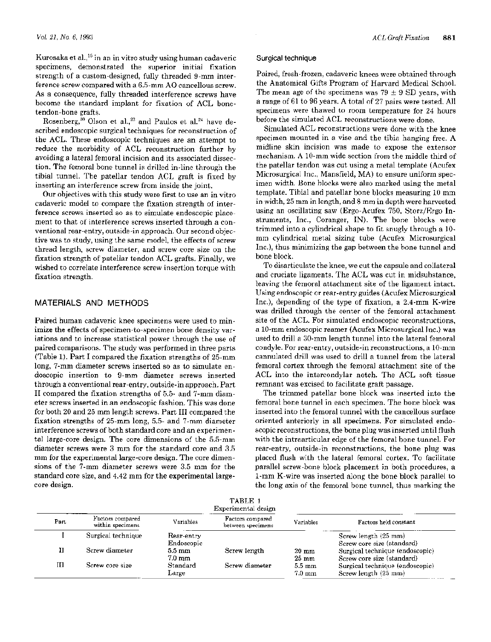Kurosaka et al.,<sup>15</sup> in an in vitro study using human cadaveric specimens, demonstrated the superior initial fixation strength of a custom-designed, fully threaded 9-mm interference screw compared with a 6.5-mm AO cancellous screw. As a consequence, fully threaded interference screws have become the standard implant for fixation of ACL bonetendon-bone grafts.

Rosenberg,<sup>30</sup> Olson et al.,<sup>23</sup> and Paulos et al.<sup>24</sup> have described endoscopic surgical techniques for reconstruction of the ACL. These endoscopic techniques are an attempt to reduce the morbidity of ACL reconstruction further by avoiding a lateral femoral incision and its associated dissection. The femoral bone tunnel is drilled in-line through the tibial tunnel. The patellar tendon ACL graft is fixed by inserting an interference screw from inside the joint.

Our objectives with this study were first to use an in vitro cadaveric model to compare the fixation strength of interference screws inserted so as to simulate endoscopic placement to that of interference screws inserted through a conventional rear-entry, outside-in approach. Our second objective was to study, using the same model, the effects of screw thread length, screw diameter, and screw core size on the fixation strength of patellar tendon ACL grafts. Finally, we wished to correlate interference screw insertion torque with fixation strength.

## MATERIALS AND METHODS

Paired human cadaveric knee specimens were used to minimize the effects of specimen-to-specimen bone density variations and to increase statistical power through the use of paired comparisons. The study was performed in three parts (Table 1). Part I compared the fixation strengths of 25-mm long, 7-mm diameter screws inserted so as to simulate endoscopic insertion to 9-mm diameter screws inserted through a conventional rear-entry, outside-in approach. Part II compared the fixation strengths of 5.5- and 7-mm diameter screws inserted in an endoscopic fashion. This was done for both 20 and 25 mm length screws. Part III compared the fixation strengths of 25-mm long, 5.5- and 7-mm diameter interference screws of both standard core and an experimental large-core design. The core dimensions of the 5.5-mm diameter screws were 3 mm for the standard core and 3.5 mm for the experimental large-core design. The core dimensions of the 7-mm diameter screws were 3.5 mm for the standard core size, and 4.42 mm for the experimental largecore design.

#### Surgical technique

Paired, fresh-frozen, cadaveric knees were obtained through the Anatomical Gifts Program of Harvard Medical School. The mean age of the specimens was  $79 \pm 9$  SD years, with a range of 61 to 96 years. A total of 27 pairs were tested. All specimens were thawed to room temperature for 24 hours before the simulated ACL reconstructions were done.

Simulated ACL reconstructions were done with the knee specimen mounted in a vise and the tibia hanging free. A midline skin incision was made to expose the extensor mechanism. A 10-mm wide section from the middle third of the patellar tendon was cut using a metal template (Acufex Microsurgical Inc., Mansfield, MA) to ensure uniform specimen width. Bone blocks were also marked using the metal template. Tibial and patellar bone blocks measuring 10 mm in width, 25 mm in length, and 8 mm in depth were harvested using an oscillating saw (Ergo-Acufex 750, Storz/Ergo Instruments, Inc., Coranger, IN). The bone blocks were trimmed into a cylindrical shape to fit snugly through a 10mm cylindrical metal sizing tube (Acufex Microsurgical Inc.), thus minimizing the gap between the bone tunnel and bone block.

To disarticulate the knee, we cut the capsule and collateral and cruciate ligaments. The ACL was cut in midsubstance, leaving the femoral attachment site of the ligament intact. Using endoscopic or rear-entry guides (Acufex Microsurgical Inc.), depending of the type of fixation, a 2.4-mm K-wire was drilled through the center of the femoral attachment site of the ACL. For simulated endoscopic reconstructions, a 10-mm endoscopic reamer (Acufex Microsurgical Inc.) was used to drill a 30-mm length tunnel into the lateral femoral condyle. For rear-entry, outside-in reconstructions, a 10-mm cannulated drill was used to drill a tunnel from the lateral femoral cortex through the femoral attachment site of the ACL into the intercondylar notch. The ACL soft tissue remnant was excised to facilitate graft passage.

The trimmed patellar bone block was inserted into the femoral bone tunnel in each specimen. The bone block was inserted into the femoral tunnel with the cancellous surface oriented anteriorly in all specimens. For simulated endoscopic reconstructions, the bone plug was inserted until flush with the intraarticular edge of the femoral bone tunnel. For rear-entry, outside-in reconstructions, the bone plug was placed flush with the lateral femoral cortex. To facilitate parallel screw-bone block placement in both procedures, a 1-mm K-wire was inserted along the bone block parallel to the long axis of the femoral bone tunnel, thus marking the

|      |                                      | Variables                            | TABLE 1<br>Experimental design         |                                      |                                                               |
|------|--------------------------------------|--------------------------------------|----------------------------------------|--------------------------------------|---------------------------------------------------------------|
| Part | Factors compared<br>within specimens |                                      | Factors compared<br>between specimens. | Variables                            | Factors held constant                                         |
|      | Surgical technique                   | Rear-entry<br>Endoscopic             |                                        |                                      | Screw length (25 mm)<br>Screw core size (standard)            |
| п    | Screw diameter                       | $5.5 \text{ mm}$<br>$7.0 \text{ mm}$ | Screw length                           | $20 \text{ mm}$<br>$25 \text{ mm}$   | Surgical technique (endoscopic)<br>Screw core size (standard) |
| Ш    | Screw core size                      | Standard<br>Large                    | Screw diameter                         | $5.5 \text{ mm}$<br>$7.0 \text{ mm}$ | Surgical technique (endoscopic)<br>Screw length (25 mm)       |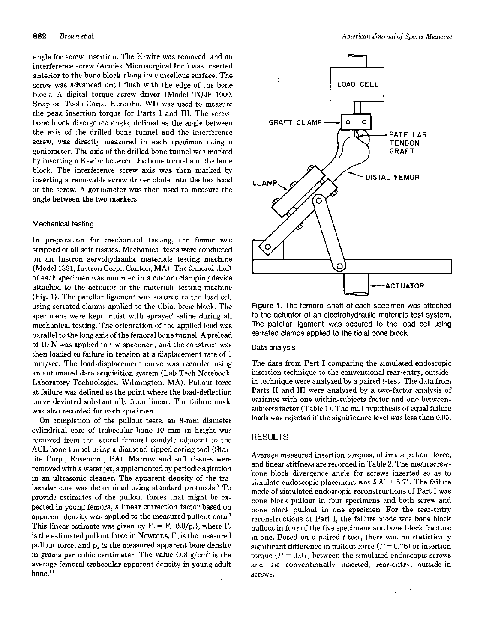angle for screw insertion. The K-wire was removed, and an interference screw (Acufex Microsurgical Inc.) was inserted anterior to the bone block along its cancellous surface. The screw was advanced until flush with the edge of the bone block. A digital torque screw driver (Model TQJE-1000, Snap-on Tools Corp., Kenosha, WI) was used to measure the peak insertion torque for Parts I and III. The screwbone block divergence angle, defined as the angle between the axis of the drilled bone tunnel and the interference screw, was directly measured in each specimen using a goniometer. The axis of the drilled bone tunnel was marked by inserting a K-wire between the bone tunnel and the bone block. The interference screw axis was then marked by inserting a removable screw driver blade into the hex head of the screw. A goniometer was then used to measure the angle between the two markers.

#### Mechanical testing

In preparation for mechanical testing, the femur was stripped of all soft tissues. Mechanical tests were conducted on an Instron servohydraulic materials testing machine (Model 1331, Instron Corp., Canton, MA). The femoral shaft of each specimen was mounted in a custom clamping device attached to the actuator of the materials testing machine (Fig. 1). The patellar ligament was secured to the load cell using serrated clamps applied to the tibial bone block. The specimens were kept moist with sprayed saline during all mechanical testing. The orientation of the applied load was parallel to the long axis of the femoral bone tunnel. A preload of 10 N was applied to the specimen, and the construct was then loaded to failure in tension at a displacement rate of 1 mm/sec. The load-displacement curve was recorded using an automated data acquisition system (Lab Tech Notebook, Laboratory Technologies, Wilmington, MA). Pullout force at failure was defined as the point where the load-deflection curve deviated substantially from linear. The failure mode was also recorded for each specimen.

On completion of the pullout tests, an 8-mm diameter cylindrical core of trabecular bone 10 mm in height was removed from the lateral femoral condyle adjacent to the ACL bone tunnel using a diamond-tipped coring tool (Starlite Corp., Rosemont, PA). Marrow and soft tissues were removed with a water jet, supplemented by periodic agitation in an ultrasonic cleaner. The apparent density of the trabecular core was determined using standard protocols.<sup>7</sup> To provide estimates of the pullout forces that might be expected in young femora, a linear correction factor based on apparent density was applied to the measured pullout data.<sup>7</sup> This linear estimate was given by  $F_c = F_a(0.8/p_a)$ , where  $F_c$ is the estimated pullout force in Newtons,  $F_a$  is the measured pullout force, and p<sub>a</sub> is the measured apparent bone density in grams per cubic centimeter. The value  $0.8 \text{ g/cm}^3$  is the average femoral trabecular apparent density in young adult  $bone<sup>11</sup>$ 



Figure 1. The femoral shaft of each specimen was attached to the actuator of an electrohydraulic materials test system. The patellar ligament was secured to the load cell using serrated clamps applied to the tibial bone block.

#### Data analysis

The data from Part I comparing the simulated endoscopic insertion technique to the conventional rear-entry, outsidein technique were analyzed by a paired  $t$ -test. The data from Parts II and III were analyzed by a two-factor analysis of variance with one within-subjects factor and one betweensubjects factor (Table 1). The null hypothesis of equal failure loads was rejected if the significance level was less than 0.05.

#### **RESULTS**

Average measured insertion torques, ultimate pullout force, and linear stiffness are recorded in Table 2. The mean screwbone block divergence angle for screws inserted so as to simulate endoscopic placement was  $5.8^{\circ} \pm 5.7^{\circ}$ . The failure mode of simulated endoscopic reconstructions of Part I was bone block pullout in four specimens and both screw and bone block pullout in one specimen. For the rear-entry reconstructions of Part I, the failure mode was bone block pullout in four of the five specimens and bone block fracture in one. Based on a paired  $t$ -test, there was no statistically significant difference in pullout force  $(P = 0.76)$  or insertion torque ( $P = 0.07$ ) between the simulated endoscopic screws and the conventionally inserted, rear-entry, outside-in screws.

 $\sim$   $\sim$ 

÷.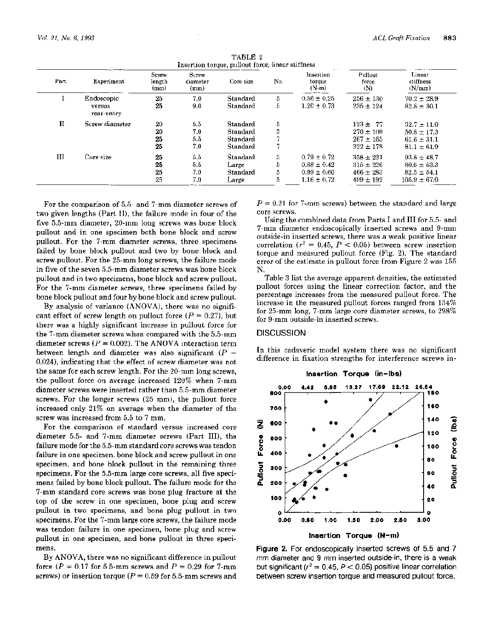| Part.        | Experiment           | Screw<br>length<br>(mm) | Screw<br>diameter<br>(mm) | Core size | No. | Insertion<br>torque<br>$(N-m)$ | Pullout<br>force<br>(N) | Linear<br>stiffness<br>(N/mm) |
|--------------|----------------------|-------------------------|---------------------------|-----------|-----|--------------------------------|-------------------------|-------------------------------|
| л.           | Endoscopic           | 25                      | 7.0                       | Standard  | 5   | $0.56 \pm 0.25$                | $256 \pm 130$           | $70.2 \pm 28.9$               |
|              | versus<br>rear-entry | 25                      | 9.0                       | Standard  | 5.  | $1.20 \pm 0.73$                | $235 \pm 124$           | $82.8 \pm 30.1$               |
| $\mathbf{I}$ | Screw diameter       | 20                      | 5.5                       | Standard  | 5   |                                | $123 + 77$              | $32.7 \pm 11.0$               |
|              |                      | 20                      | 7.0                       | Standard  | 5   |                                | $270 \pm 109$           | $50.8 \pm 17.3$               |
|              |                      | 25                      | 5.5                       | Standard  |     |                                | $267 \pm 165$           | $61.6 \pm 31.1$               |
|              |                      | 25                      | 7.0                       | Standard  |     |                                | $322 \pm 178$           | $81.1 \pm 61.9$               |
| Ш            | Core size            | 25                      | 5.5                       | Standard  | 5.  | $0.79 \pm 0.72$                | $358 \pm 231$           | $93.8 \pm 48.7$               |
|              |                      | 25                      | 5.5                       | Large     | 5.  | $0.88 \pm 0.42$                | $315 \pm 226$           | $80.6 \pm 53.3$               |
|              |                      | 25                      | 7.0                       | Standard  | 5.  | $0.99 \pm 0.60$                | $466 \pm 283$           | $82.5 \pm 54.1$               |
|              |                      | 25                      | 7.0                       | Large     | 5   | $1.16 \pm 0.72$                | $409 \pm 192$           | $105.9 \pm 67.0$              |

TABLE 2

For the comparison of 5.5- and 7-mm diameter screws of two given lengths (Part II), the failure mode in four of the five 5.5-mm diameter, 20-mm long screws was bone block pullout and in one specimen both bone block and screw pullout. For the 7-mm diameter screws, three specimens failed by bone block pullout and two by bone block and screw pullout. For the 25-mm long screws, the failure mode in five of the seven 5.5-mm diameter screws was bone block pullout and in two specimens, bone block and screw pullout. For the 7-mm diameter screws, three specimens failed by bone block pullout and four by bone block and screw pullout.

By analysis of variance (ANOVA), there was no significant effect of screw length on pullout force  $(P = 0.27)$ , but there was a highly significant increase in pullout force for the 7-mm diameter screws when compared with the 5.5-mm diameter screws ( $P = 0.002$ ). The ANOVA interaction term between length and diameter was also significant ( $P =$ 0.024), indicating that the effect of screw diameter was not the same for each screw length. For the 20-mm long screws, the pullout force on average increased 120% when 7-mm diameter screws were inserted rather than 5.5-mm diameter screws. For the longer screws (25 mm), the pullout force increased only 21% on average when the diameter of the screw was increased from 5.5 to 7 mm.

For the comparison of standard versus increased core diameter 5.5- and 7-mm diameter screws (Part III), the failure mode for the 5.5-mm standard core screws was tendon failure in one specimen, bone block and screw pullout in one specimen, and bone block pullout in the remaining three specimens. For the 5.5-mm large core screws, all five specimens failed by bone block pullout. The failure mode for the 7-mm standard core screws was bone plug fracture at the top of the screw in one specimen, bone plug and screw pullout in two specimens, and bone plug pullout in two specimens. For the 7-mm large core screws, the failure mode was tendon failure in one specimen, bone plug and screw pullout in one specimen, and bone pullout in three specimens.

By ANOVA, there was no significant difference in pullout force ( $P = 0.17$  for 5.5-mm screws and  $P = 0.29$  for 7-mm screws) or insertion torque ( $P = 0.59$  for 5.5-mm screws and  $P = 0.21$  for 7-mm screws) between the standard and large core screws.

Using the combined data from Parts I and III for 5.5- and 7-mm diameter endoscopically inserted screws and 9-mm outside-in inserted screws, there was a weak positive linear correlation ( $r^2 = 0.45$ ,  $P < 0.05$ ) between screw insertion torque and measured pullout force (Fig. 2). The standard error of the estimate in pullout force from Figure 2 was 155 N.

Table 3 list the average apparent densities, the estimated pullout forces using the linear correction factor, and the percentage increases from the measured pullout force. The increase in the measured pullout forces ranged from 134% for 25-mm long, 7-mm large core diameter screws, to 298% for 9-mm outside-in inserted screws.

### **DISCUSSION**

In this cadaveric model system there was no significant difference in fixation strengths for interference screws in-



Figure 2. For endoscopically inserted screws of 5.5 and 7 mm diameter and 9 mm inserted outside-in, there is a weak but significant ( $r^2 = 0.45$ ,  $P < 0.05$ ) positive linear correlation between screw insertion torque and measured pullout force.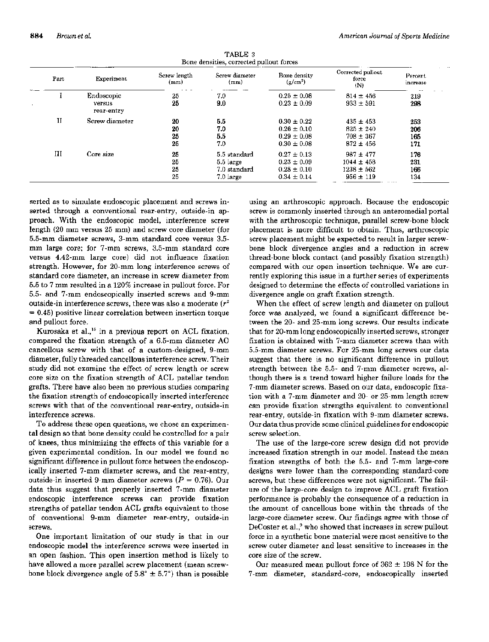| Part         | Experiment                         | Screw length<br>(mm) | Screw diameter<br>(mm)                                   | <b>Bone density</b><br>$(g/cm^3)$                                        | Corrected pullout<br>force<br>(N)                                | Percent<br>increase      |
|--------------|------------------------------------|----------------------|----------------------------------------------------------|--------------------------------------------------------------------------|------------------------------------------------------------------|--------------------------|
|              | Endoscopic<br>versus<br>rear-entry | 25<br>25             | 7.0<br>9.0                                               | $0.25 \pm 0.08$<br>$0.23 \pm 0.09$                                       | $814 \pm 456$<br>$933 \pm 591$                                   | 219<br>298               |
| $\mathbf{I}$ | Screw diameter                     | 20<br>20<br>25<br>25 | 5.5<br>7.0<br>5.5<br>7.0                                 | $0.30 \pm 0.22$<br>$0.26 \pm 0.10$<br>$0.29 \pm 0.08$<br>$0.30 \pm 0.08$ | $435 \pm 453$<br>$825 \pm 240$<br>$708 \pm 367$<br>$872 \pm 456$ | 253<br>206<br>165<br>171 |
| Ш            | Core size                          | 25<br>25<br>25<br>25 | 5.5 standard<br>$5.5$ large<br>7.0 standard<br>7.0 large | $0.27 \pm 0.13$<br>$0.23 \pm 0.09$<br>$0.28 \pm 0.10$<br>$0.34 \pm 0.14$ | $987 + 477$<br>$1044 \pm 458$<br>$1238 \pm 562$<br>$956 \pm 119$ | 176<br>231<br>166<br>134 |

TABLE 3

serted as to simulate endoscopic placement and screws inserted through a conventional rear-entry, outside-in approach. With the endoscopic model, interference screw length (20 mm versus 25 mm) and screw core diameter (for 5.5-mm diameter screws, 3-mm standard core versus 3.5mm large core; for 7-mm screws, 3.5-mm standard core versus 4.42-mm large core) did not influence fixation strength. However, for 20-mm long interference screws of standard core diameter, an increase in screw diameter from 5.5 to 7 mm resulted in a 120% increase in pullout force. For 5.5- and 7-mm endoscopically inserted screws and 9-mm outside-in interference screws, there was also a moderate  $(r^2)$  $= 0.45$ ) positive linear correlation between insertion torque and pullout force.

Kurosaka et al.,<sup>15</sup> in a previous report on ACL fixation, compared the fixation strength of a 6.5-mm diameter AO cancellous screw with that of a custom-designed, 9-mm diameter, fully threaded cancellous interference screw. Their study did not examine the effect of screw length or screw core size on the fixation strength of ACL patellar tendon grafts. There have also been no previous studies comparing the fixation strength of endoscopically inserted interference screws with that of the conventional rear-entry, outside-in interference screws.

To address these open questions, we chose an experimental design so that bone density could be controlled for a pair of knees, thus minimizing the effects of this variable for a given experimental condition. In our model we found no significant difference in pullout force between the endoscopically inserted 7-mm diameter screws, and the rear-entry, outside-in inserted 9-mm diameter screws ( $P = 0.76$ ). Our data thus suggest that properly inserted 7-mm diameter endoscopic interference screws can provide fixation strengths of patellar tendon ACL grafts equivalent to those of conventional 9-mm diameter rear-entry, outside-in screws.

One important limitation of our study is that in our endoscopic model the interference screws were inserted in an open fashion. This open insertion method is likely to have allowed a more parallel screw placement (mean screwbone block divergence angle of  $5.8^{\circ} \pm 5.7^{\circ}$ ) than is possible

using an arthroscopic approach. Because the endoscopic screw is commonly inserted through an anteromedial portal with the arthroscopic technique, parallel screw-bone block placement is more difficult to obtain. Thus, arthroscopic screw placement might be expected to result in larger screwbone block divergence angles and a reduction in screw thread-bone block contact (and possibly fixation strength) compared with our open insertion technique. We are currently exploring this issue in a further series of experiments designed to determine the effects of controlled variations in divergence angle on graft fixation strength.

When the effect of screw length and diameter on pullout force was analyzed, we found a significant difference between the 20- and 25-mm long screws. Our results indicate that for 20-mm long endoscopically inserted screws, stronger fixation is obtained with 7-mm diameter screws than with 5.5-mm diameter screws. For 25-mm long screws our data suggest that there is no significant difference in pullout strength between the 5.5- and 7-mm diameter screws, although there is a trend toward higher failure loads for the 7-mm diameter screws. Based on our data, endoscopic fixation with a 7-mm diameter and 20- or 25-mm length screw can provide fixation strengths equivalent to conventional rear-entry, outside-in fixation with 9-mm diameter screws. Our data thus provide some clinical guidelines for endoscopic screw selection.

The use of the large-core screw design did not provide increased fixation strength in our model. Instead the mean fixation strengths of both the 5.5- and 7-mm large-core designs were lower than the corresponding standard-core screws, but these differences were not significant. The failure of the large-core design to improve ACL graft fixation performance is probably the consequence of a reduction in the amount of cancellous bone within the threads of the large-core diameter screw. Our findings agree with those of DeCoster et al.,<sup>9</sup> who showed that increases in screw pullout force in a synthetic bone material were most sensitive to the screw outer diameter and least sensitive to increases in the core size of the screw.

Our measured mean pullout force of  $362 \pm 198$  N for the 7-mm diameter, standard-core, endoscopically inserted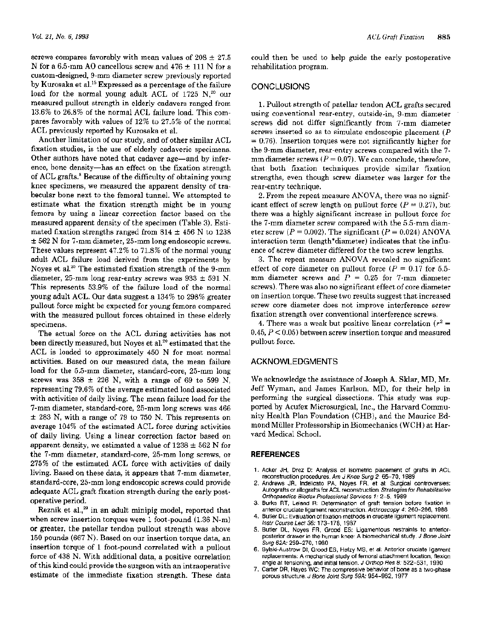screws compares favorably with mean values of  $208 \pm 27.5$ N for a 6.5-mm AO cancellous screw and 476  $\pm$  111 N for a custom-designed, 9-mm diameter screw previously reported by Kurosaka et al.<sup>15</sup> Expressed as a percentage of the failure load for the normal young adult ACL of 1725 N.<sup>20</sup> our measured pullout strength in elderly cadavers ranged from 13.6% to 26.8% of the normal ACL failure load. This compares favorably with values of 12% to 27.5% of the normal ACL previously reported by Kurosaka et al.

Another limitation of our study, and of other similar ACL fixation studies, is the use of elderly cadaveric specimens. Other authors have noted that cadaver age—and by inference, bone density—has an effect on the fixation strength of ACL grafts.<sup>8</sup> Because of the difficulty of obtaining young knee specimens, we measured the apparent density of trabecular bone next to the femoral tunnel. We attempted to estimate what the fixation strength might be in young femora by using a linear correction factor based on the measured apparent density of the specimen (Table 3). Estimated fixation strengths ranged from  $814 \pm 456$  N to 1238  $\pm$  562 N for 7-mm diameter, 25-mm long endoscopic screws. These values represent 47.2% to 71.8% of the normal young adult ACL failure load derived from the experiments by Noyes et al.<sup>20</sup> The estimated fixation strength of the 9-mm diameter, 25-mm long rear-entry screws was 933  $\pm$  591 N. This represents 53.9% of the failure load of the normal young adult ACL. Our data suggest a 134% to 298% greater pullout force might be expected for young femora compared with the measured pullout forces obtained in these elderly specimens.

The actual force on the ACL during activities has not been directly measured, but Noyes et al.<sup>20</sup> estimated that the ACL is loaded to approximately 450 N for most normal activities. Based on our measured data, the mean failure load for the 5.5-mm diameter, standard-core, 25-mm long screws was  $358 \pm 226$  N, with a range of 69 to 599 N, representing 79.6% of the average estimated load associated with activities of daily living. The mean failure load for the 7-mm diameter, standard-core, 25-mm long screws was 466  $\pm$  283 N, with a range of 79 to 750 N. This represents on average 104% of the estimated ACL force during activities of daily living. Using a linear correction factor based on apparent density, we estimated a value of  $1238 \pm 562$  N for the 7-mm diameter, standard-core, 25-mm long screws, or 275% of the estimated ACL force with activities of daily living. Based on these data, it appears that 7-mm diameter, standard-core, 25-mm long endoscopic screws could provide adequate ACL graft fixation strength during the early postoperative period.

Reznik et al.,<sup>29</sup> in an adult minipig model, reported that when screw insertion torques were 1 foot-pound  $(1.36 \text{ N-m})$ or greater, the patellar tendon pullout strength was above 150 pounds (667 N). Based on our insertion torque data, an insertion torque of 1 foot-pound correlated with a pullout force of 438 N. With additional data, a positive correlation of this kind could provide the surgeon with an intraoperative estimate of the immediate fixation strength. These data could then be used to help guide the early postoperative rehabilitation program.

# **CONCLUSIONS**

1. Pullout strength of patellar tendon ACL grafts secured using conventional rear-entry, outside-in, 9-mm diameter screws did not differ significantly from 7-mm diameter screws inserted so as to simulate endoscopic placement  $(P)$  $= 0.76$ ). Insertion torques were not significantly higher for the 9-mm diameter, rear-entry screws compared with the 7mm diameter screws ( $P = 0.07$ ). We can conclude, therefore, that both fixation techniques provide similar fixation strengths, even though screw diameter was larger for the rear-entry technique.

2. From the repeat measure ANOVA, there was no significant effect of screw length on pullout force  $(P = 0.27)$ , but there was a highly significant increase in pullout force for the 7-mm diameter screw compared with the 5.5-mm diameter screw ( $P = 0.002$ ). The significant ( $P = 0.024$ ) ANOVA interaction term (length\*diameter) indicates that the influence of screw diameter differed for the two screw lengths.

3. The repeat measure ANOVA revealed no significant effect of core diameter on pullout force ( $P = 0.17$  for 5.5mm diameter screws and  $P = 0.25$  for 7-mm diameter screws). There was also no significant effect of core diameter on insertion torque. These two results suggest that increased screw core diameter does not improve interference screw fixation strength over conventional interference screws.

4. There was a weak but positive linear correlation ( $r^2 =$  $0.45, P < 0.05$ ) between screw insertion torque and measured pullout force.

#### **ACKNOWLEDGMENTS**

We acknowledge the assistance of Joseph A. Sklar, MD, Mr. Jeff Wyman, and James Karlson, MD, for their help in performing the surgical dissections. This study was supported by Acufex Microsurgical, Inc., the Harvard Community Health Plan Foundation (CHB), and the Maurice Edmond Müller Professorship in Biomechanics (WCH) at Harvard Medical School.

#### **REFERENCES**

- 1. Acker JH, Drez D: Analysis of isometric placement of grafts in ACL reconstruction procedures. Am J Knee Surg 2: 65-70, 1989
- Andrews JR, Indelicato PA, Noyes FR, et al: Surgical controversies: Autografts or allografts for ACL reconstruction. Strategies for Rehabilitative Orthopaedics Biodex Professional Services 1: 2-5, 1989
- 3. Burks RT, Leland R: Determination of graft tension before fixation in anterior cruciate ligament reconstruction. Arthroscopy 4: 260-266, 1988
- 4. Butler DL: Evaluation of fixation methods in cruciate ligament replacement. Instr Course Lect 36: 173-178, 1987
- 5. Butler DL, Noyes FR, Grood ES: Ligamentous restraints to anteriorposterior drawer in the human knee: A biomechanical study. J Bone Joint Surg 62A: 259-270, 1980
- 6. Bylski-Austrow DI, Grood ES, Hefzy MS, et al: Anterior cruciate ligament replacements: A mechanical study of femoral attachment location, flexion angle at tensioning, and initial tension. J Orthop Res 8: 522-531, 1990
- 7. Carter DR, Hayes WC: The compressive behavior of bone as a two-phase porous structure. J Bone Joint Surg 59A: 954-962, 1977